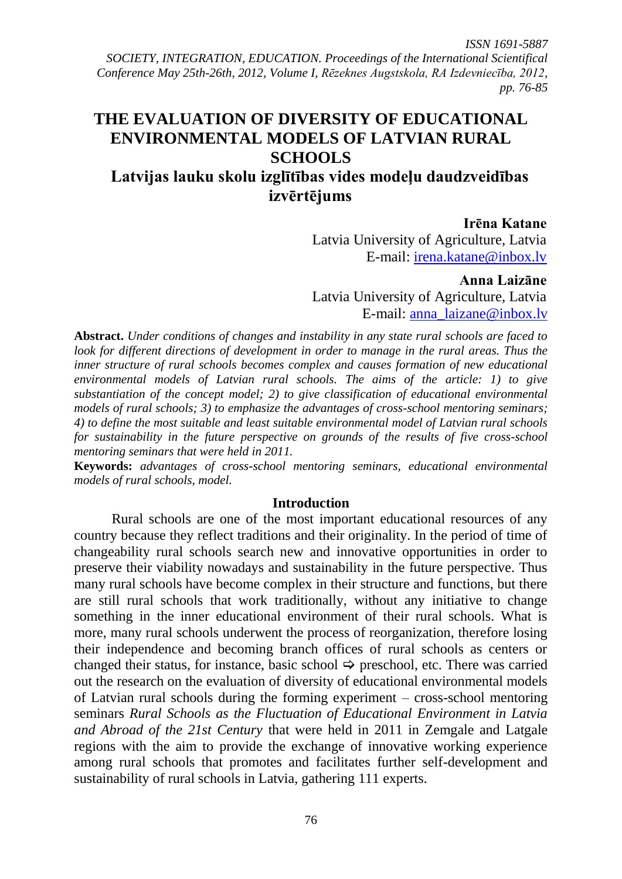# **THE EVALUATION OF DIVERSITY OF EDUCATIONAL ENVIRONMENTAL MODELS OF LATVIAN RURAL SCHOOLS**

## **Latvijas lauku skolu izglītības vides modeļu daudzveidības izvērtējums**

#### **Irēna Katane**

Latvia University of Agriculture, Latvia E-mail: [irena.katane@inbox.lv](mailto:irena.katane@inbox.lv)

#### **Anna Laizāne**

Latvia University of Agriculture, Latvia E-mail: [anna\\_laizane@inbox.lv](mailto:anna_laizane@inbox.lv)

**Abstract.** *Under conditions of changes and instability in any state rural schools are faced to look for different directions of development in order to manage in the rural areas. Thus the inner structure of rural schools becomes complex and causes formation of new educational environmental models of Latvian rural schools. The aims of the article: 1) to give substantiation of the concept model; 2) to give classification of educational environmental models of rural schools; 3) to emphasize the advantages of cross-school mentoring seminars; 4) to define the most suitable and least suitable environmental model of Latvian rural schools for sustainability in the future perspective on grounds of the results of five cross-school mentoring seminars that were held in 2011.* 

**Keywords:** *advantages of cross-school mentoring seminars, educational environmental models of rural schools, model.*

### **Introduction**

Rural schools are one of the most important educational resources of any country because they reflect traditions and their originality. In the period of time of changeability rural schools search new and innovative opportunities in order to preserve their viability nowadays and sustainability in the future perspective. Thus many rural schools have become complex in their structure and functions, but there are still rural schools that work traditionally, without any initiative to change something in the inner educational environment of their rural schools. What is more, many rural schools underwent the process of reorganization, therefore losing their independence and becoming branch offices of rural schools as centers or changed their status, for instance, basic school  $\Rightarrow$  preschool, etc. There was carried out the research on the evaluation of diversity of educational environmental models of Latvian rural schools during the forming experiment – cross-school mentoring seminars *Rural Schools as the Fluctuation of Educational Environment in Latvia and Abroad of the 21st Century* that were held in 2011 in Zemgale and Latgale regions with the aim to provide the exchange of innovative working experience among rural schools that promotes and facilitates further self-development and sustainability of rural schools in Latvia, gathering 111 experts.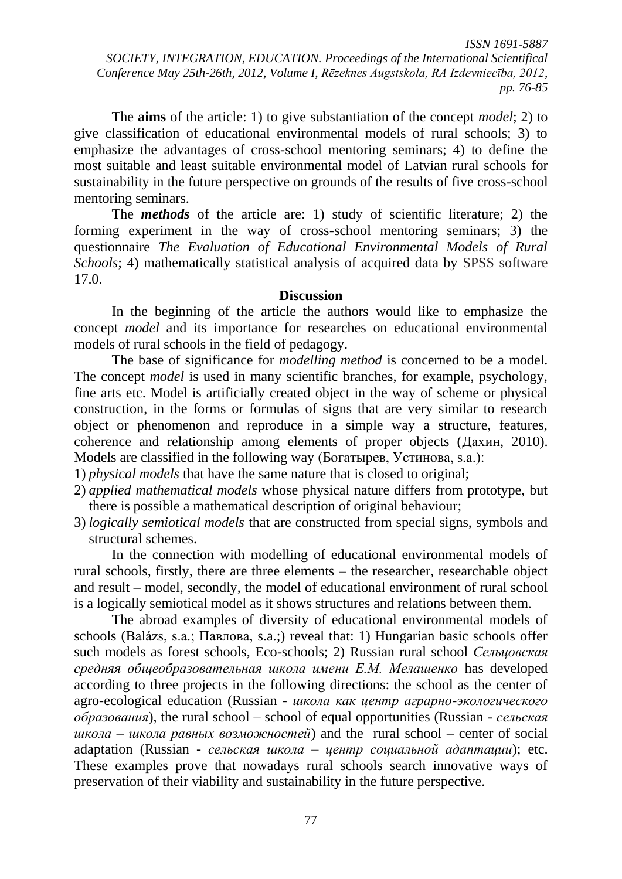The **aims** of the article: 1) to give substantiation of the concept *model*; 2) to give classification of educational environmental models of rural schools; 3) to emphasize the advantages of cross-school mentoring seminars; 4) to define the most suitable and least suitable environmental model of Latvian rural schools for sustainability in the future perspective on grounds of the results of five cross-school mentoring seminars.

The *methods* of the article are: 1) study of scientific literature; 2) the forming experiment in the way of cross-school mentoring seminars; 3) the questionnaire *The Evaluation of Educational Environmental Models of Rural Schools*; 4) mathematically statistical analysis of acquired data by SPSS software 17.0.

### **Discussion**

In the beginning of the article the authors would like to emphasize the concept *model* and its importance for researches on educational environmental models of rural schools in the field of pedagogy.

The base of significance for *modelling method* is concerned to be a model. The concept *model* is used in many scientific branches, for example, psychology, fine arts etc. Model is artificially created object in the way of scheme or physical construction, in the forms or formulas of signs that are very similar to research object or phenomenon and reproduce in a simple way a structure, features, coherence and relationship among elements of proper objects (Дахин, 2010). Models are classified in the following way (Богатырев, Устинова, s.a.):

1) *physical models* that have the same nature that is closed to original;

- 2) *applied mathematical models* whose physical nature differs from prototype, but there is possible a mathematical description of original behaviour;
- 3) *logically semiotical models* that are constructed from special signs, symbols and structural schemes.

In the connection with modelling of educational environmental models of rural schools, firstly, there are three elements – the researcher, researchable object and result – model, secondly, the model of educational environment of rural school is a logically semiotical model as it shows structures and relations between them.

The abroad examples of diversity of educational environmental models of schools (Balázs, s.a.; Павлова, s.a.;) reveal that: 1) Hungarian basic schools offer such models as forest schools, Eco-schools; 2) Russian rural school *Сельцовская средняя общеобразовательная школа имени Е.М. Мелашенко* has developed according to three projects in the following directions: the school as the center of agro-ecological education (Russian - *школа как центр аграрно-экологического образования*), the rural school – school of equal opportunities (Russian - *cельская школа – школа равных возможностей*) and the rural school – center of social adaptation (Russian - *cельская школа – центр социальной адаптации*); etc. These examples prove that nowadays rural schools search innovative ways of preservation of their viability and sustainability in the future perspective.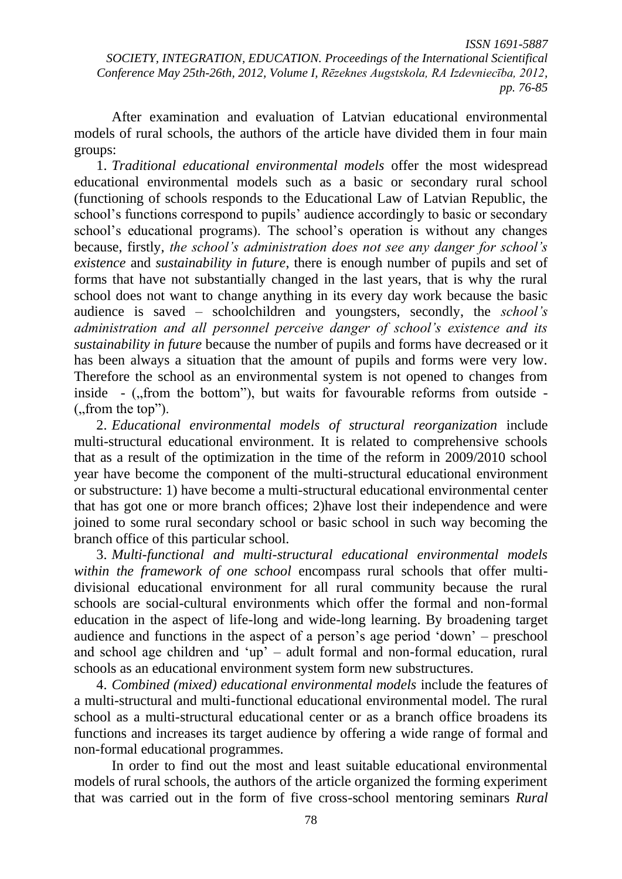After examination and evaluation of Latvian educational environmental models of rural schools, the authors of the article have divided them in four main groups:

1. *Traditional educational environmental models* offer the most widespread educational environmental models such as a basic or secondary rural school (functioning of schools responds to the Educational Law of Latvian Republic, the school's functions correspond to pupils' audience accordingly to basic or secondary school's educational programs). The school's operation is without any changes because, firstly, *the school's administration does not see any danger for school's existence* and *sustainability in future*, there is enough number of pupils and set of forms that have not substantially changed in the last years, that is why the rural school does not want to change anything in its every day work because the basic audience is saved – schoolchildren and youngsters, secondly, the *school's administration and all personnel perceive danger of school's existence and its sustainability in future* because the number of pupils and forms have decreased or it has been always a situation that the amount of pupils and forms were very low. Therefore the school as an environmental system is not opened to changes from inside  $-$  ( $\pi$ from the bottom"), but waits for favourable reforms from outside  $($ ...from the top" $).$ 

2. *Educational environmental models of structural reorganization* include multi-structural educational environment. It is related to comprehensive schools that as a result of the optimization in the time of the reform in 2009/2010 school year have become the component of the multi-structural educational environment or substructure: 1) have become a multi-structural educational environmental center that has got one or more branch offices; 2)have lost their independence and were joined to some rural secondary school or basic school in such way becoming the branch office of this particular school.

3. *Multi-functional and multi-structural educational environmental models within the framework of one school* encompass rural schools that offer multidivisional educational environment for all rural community because the rural schools are social-cultural environments which offer the formal and non-formal education in the aspect of life-long and wide-long learning. By broadening target audience and functions in the aspect of a person's age period 'down' – preschool and school age children and 'up' – adult formal and non-formal education, rural schools as an educational environment system form new substructures.

4. *Combined (mixed) educational environmental models* include the features of a multi-structural and multi-functional educational environmental model. The rural school as a multi-structural educational center or as a branch office broadens its functions and increases its target audience by offering a wide range of formal and non-formal educational programmes.

In order to find out the most and least suitable educational environmental models of rural schools, the authors of the article organized the forming experiment that was carried out in the form of five cross-school mentoring seminars *Rural*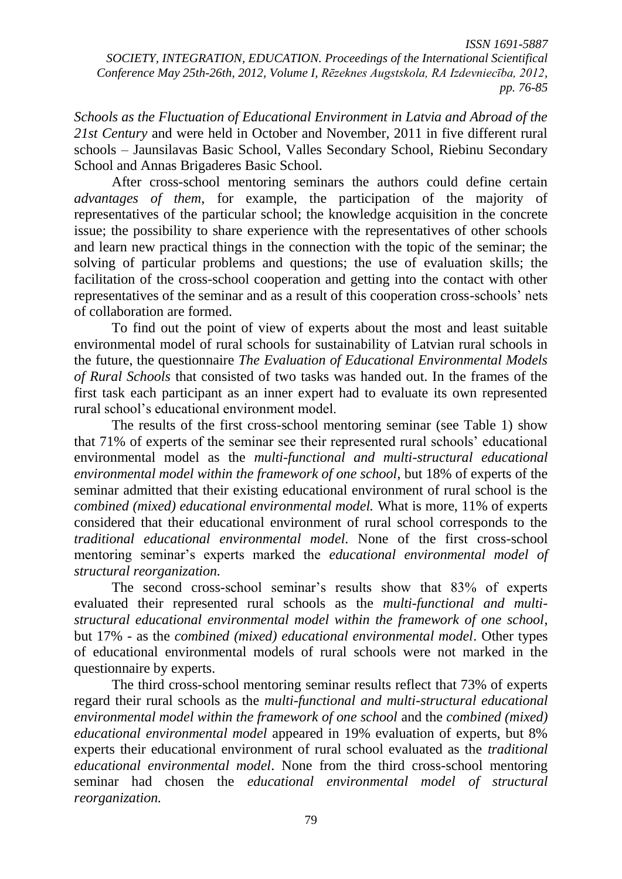*Schools as the Fluctuation of Educational Environment in Latvia and Abroad of the 21st Century* and were held in October and November, 2011 in five different rural schools – Jaunsilavas Basic School, Valles Secondary School, Riebinu Secondary School and Annas Brigaderes Basic School.

After cross-school mentoring seminars the authors could define certain *advantages of them*, for example, the participation of the majority of representatives of the particular school; the knowledge acquisition in the concrete issue; the possibility to share experience with the representatives of other schools and learn new practical things in the connection with the topic of the seminar; the solving of particular problems and questions; the use of evaluation skills; the facilitation of the cross-school cooperation and getting into the contact with other representatives of the seminar and as a result of this cooperation cross-schools' nets of collaboration are formed.

To find out the point of view of experts about the most and least suitable environmental model of rural schools for sustainability of Latvian rural schools in the future, the questionnaire *The Evaluation of Educational Environmental Models of Rural Schools* that consisted of two tasks was handed out. In the frames of the first task each participant as an inner expert had to evaluate its own represented rural school's educational environment model.

The results of the first cross-school mentoring seminar (see Table 1) show that 71% of experts of the seminar see their represented rural schools' educational environmental model as the *multi-functional and multi-structural educational environmental model within the framework of one school*, but 18% of experts of the seminar admitted that their existing educational environment of rural school is the *combined (mixed) educational environmental model.* What is more, 11% of experts considered that their educational environment of rural school corresponds to the *traditional educational environmental model*. None of the first cross-school mentoring seminar's experts marked the *educational environmental model of structural reorganization.*

The second cross-school seminar's results show that 83% of experts evaluated their represented rural schools as the *multi-functional and multistructural educational environmental model within the framework of one school*, but 17% - as the *combined (mixed) educational environmental model*. Other types of educational environmental models of rural schools were not marked in the questionnaire by experts.

The third cross-school mentoring seminar results reflect that 73% of experts regard their rural schools as the *multi-functional and multi-structural educational environmental model within the framework of one school* and the *combined (mixed) educational environmental model* appeared in 19% evaluation of experts, but 8% experts their educational environment of rural school evaluated as the *traditional educational environmental model*. None from the third cross-school mentoring seminar had chosen the *educational environmental model of structural reorganization.*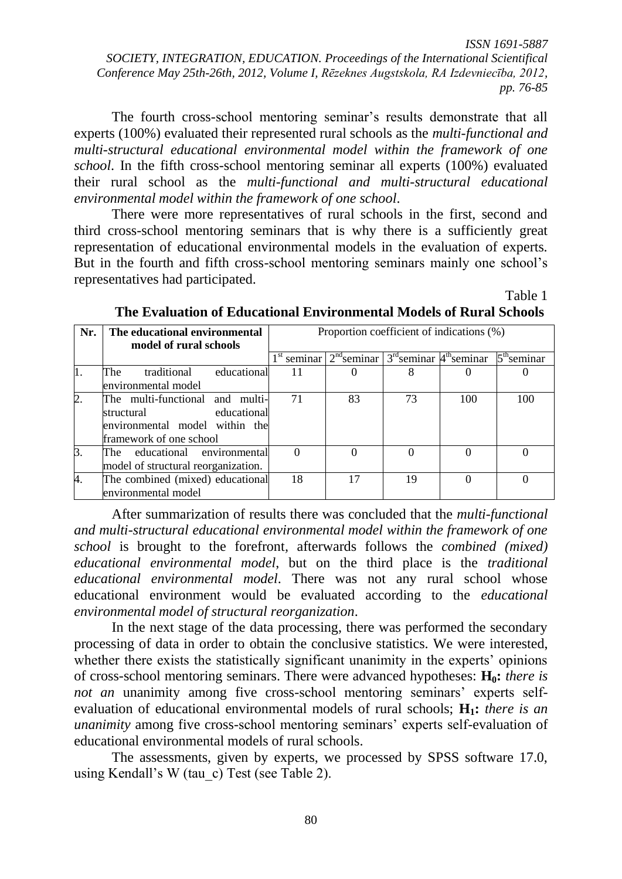*ISSN 1691-5887 SOCIETY, INTEGRATION, EDUCATION. Proceedings of the International Scientifical Conference May 25th-26th, 2012, Volume I, Rēzeknes Augstskola, RA Izdevniecība, 2012, pp. 76-85*

The fourth cross-school mentoring seminar's results demonstrate that all experts (100%) evaluated their represented rural schools as the *multi-functional and multi-structural educational environmental model within the framework of one school*. In the fifth cross-school mentoring seminar all experts (100%) evaluated their rural school as the *multi-functional and multi-structural educational environmental model within the framework of one school*.

There were more representatives of rural schools in the first, second and third cross-school mentoring seminars that is why there is a sufficiently great representation of educational environmental models in the evaluation of experts. But in the fourth and fifth cross-school mentoring seminars mainly one school's representatives had participated.

Table 1

| Nr.              | The educational environmental       | Proportion coefficient of indications (%) |               |                             |     |               |
|------------------|-------------------------------------|-------------------------------------------|---------------|-----------------------------|-----|---------------|
|                  | model of rural schools              |                                           |               |                             |     |               |
|                  |                                     | $1st$ seminar                             | $2nd$ seminar | $3rd$ seminar $4th$ seminar |     | $5th$ seminar |
| 1.               | traditional<br>educational<br>The   | 11                                        |               | 8                           |     |               |
|                  | environmental model                 |                                           |               |                             |     |               |
| $\overline{2}$ . | The multi-functional and multi-     | 71                                        | 83            | 73                          | 100 | 100           |
|                  | educational<br>structural           |                                           |               |                             |     |               |
|                  | environmental model within the      |                                           |               |                             |     |               |
|                  | framework of one school             |                                           |               |                             |     |               |
| 3.               | educational environmental<br>The    |                                           |               |                             |     |               |
|                  | model of structural reorganization. |                                           |               |                             |     |               |
| 4.               | The combined (mixed) educational    | 18                                        | 17            | 19                          |     |               |
|                  | environmental model                 |                                           |               |                             |     |               |

### **The Evaluation of Educational Environmental Models of Rural Schools**

After summarization of results there was concluded that the *multi-functional and multi-structural educational environmental model within the framework of one school* is brought to the forefront*,* afterwards follows the *combined (mixed) educational environmental model*, but on the third place is the *traditional educational environmental model*. There was not any rural school whose educational environment would be evaluated according to the *educational environmental model of structural reorganization*.

In the next stage of the data processing, there was performed the secondary processing of data in order to obtain the conclusive statistics. We were interested, whether there exists the statistically significant unanimity in the experts' opinions of cross-school mentoring seminars. There were advanced hypotheses: **H0:** *there is not an unanimity among five cross-school mentoring seminars' experts self*evaluation of educational environmental models of rural schools; **H1:** *there is an unanimity* among five cross-school mentoring seminars' experts self-evaluation of educational environmental models of rural schools.

The assessments, given by experts, we processed by SPSS software 17.0, using Kendall's W (tau\_c) Test (see Table 2).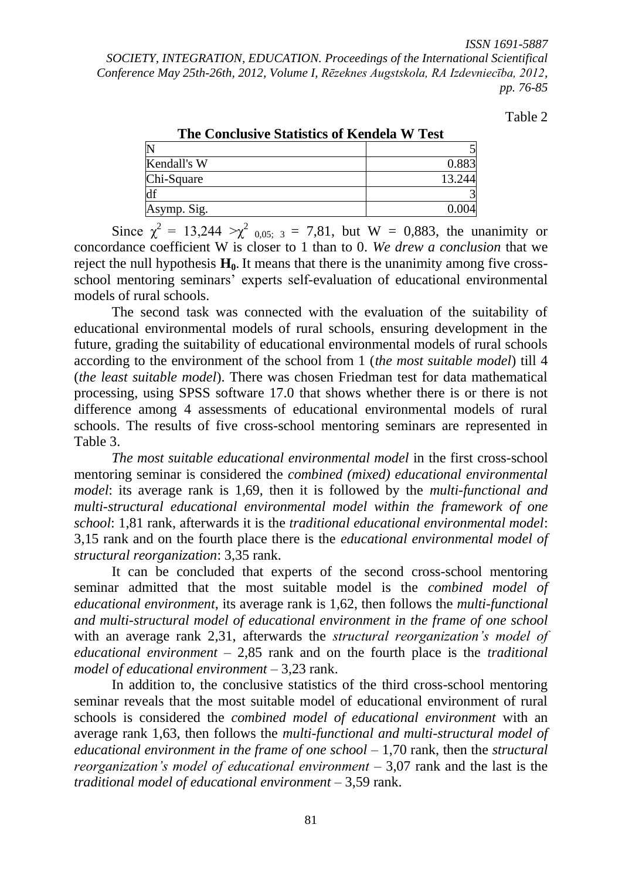Table 2

|             | The Conclusive Statistics of Kendela W Test |  |  |
|-------------|---------------------------------------------|--|--|
|             |                                             |  |  |
| Kendall's W | 0.883                                       |  |  |
| Chi-Square  | 13.244                                      |  |  |
|             |                                             |  |  |
| Asymp. Sig. |                                             |  |  |

Since  $\chi^2 = 13{,}244 > \chi^2_{0.05; 3} = 7{,}81$ , but W = 0,883, the unanimity or concordance coefficient W is closer to 1 than to 0. *We drew a conclusion* that we reject the null hypothesis  $H_0$ . It means that there is the unanimity among five crossschool mentoring seminars' experts self-evaluation of educational environmental models of rural schools.

The second task was connected with the evaluation of the suitability of educational environmental models of rural schools, ensuring development in the future, grading the suitability of educational environmental models of rural schools according to the environment of the school from 1 (*the most suitable model*) till 4 (*the least suitable model*). There was chosen Friedman test for data mathematical processing, using SPSS software 17.0 that shows whether there is or there is not difference among 4 assessments of educational environmental models of rural schools. The results of five cross-school mentoring seminars are represented in Table 3.

*The most suitable educational environmental model* in the first cross-school mentoring seminar is considered the *combined (mixed) educational environmental model*: its average rank is 1,69, then it is followed by the *multi-functional and multi-structural educational environmental model within the framework of one school*: 1,81 rank, afterwards it is the *traditional educational environmental model*: 3,15 rank and on the fourth place there is the *educational environmental model of structural reorganization*: 3,35 rank.

It can be concluded that experts of the second cross-school mentoring seminar admitted that the most suitable model is the *combined model of educational environment*, its average rank is 1,62, then follows the *multi-functional and multi-structural model of educational environment in the frame of one school* with an average rank 2,31, afterwards the *structural reorganization's model of educational environment* – 2,85 rank and on the fourth place is the *traditional model of educational environment* – 3,23 rank.

In addition to, the conclusive statistics of the third cross-school mentoring seminar reveals that the most suitable model of educational environment of rural schools is considered the *combined model of educational environment* with an average rank 1,63, then follows the *multi-functional and multi-structural model of educational environment in the frame of one school* – 1,70 rank, then the *structural reorganization's model of educational environment* – 3,07 rank and the last is the *traditional model of educational environment* – 3,59 rank.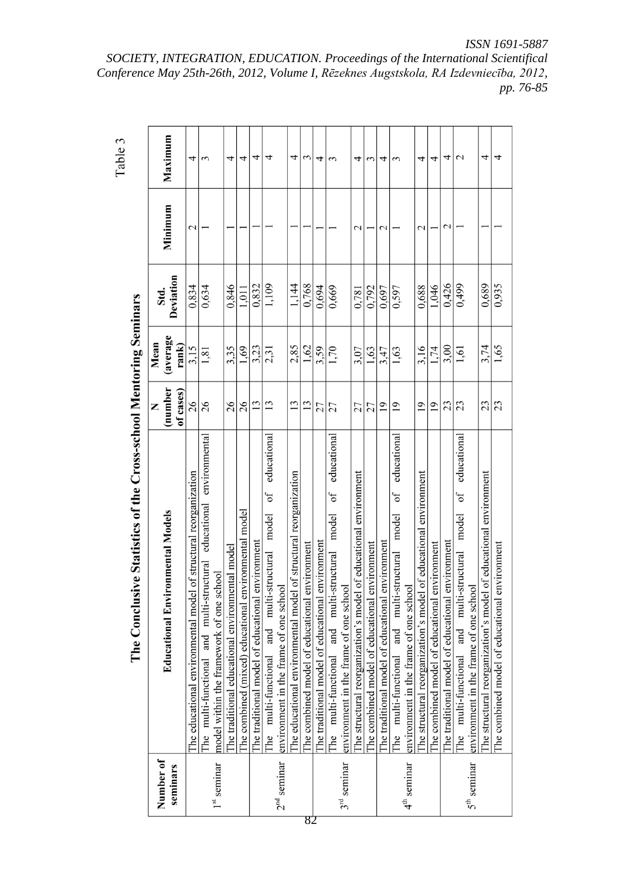Table 3

| J                                             |
|-----------------------------------------------|
| てと ひとく<br>J<br>$\ddot{\phantom{0}}$<br>į<br>ζ |
| $\frac{1}{2}$<br>$+$ $\sim$                   |
| j                                             |
| $\frac{1}{2}$                                 |
| ໌<br>$\blacksquare$<br>ĺ                      |

| Number of<br>seminars   | <b>Educational Environmental Models</b>                                                                               | (number<br>of cases)<br>Z | (average<br>Mean<br>rank) | Deviation<br>Std. | Minimum       | Maximum       |
|-------------------------|-----------------------------------------------------------------------------------------------------------------------|---------------------------|---------------------------|-------------------|---------------|---------------|
|                         | The educational environmental model of structural reorganization                                                      | 26                        | 3,15                      | 0,834             | $\mathcal{L}$ | 4             |
| 1 <sup>st</sup> seminar | environmental<br>educational<br>The multi-functional and multi-structural<br>model within the framework of one school | 26                        | 1,81                      | 0,634             |               | 3             |
|                         | The traditional educational environmental model                                                                       | 26                        | 3,35                      | 0,846             |               | 4             |
|                         | The combined (mixed) educational environmental model                                                                  | 26                        | 1,69                      | 1,011             |               | 4             |
|                         | environment<br>The traditional model of educational                                                                   | 13                        | 3,23                      | 0,832             |               | 4             |
|                         | educational<br>of<br>model<br>The multi-functional and multi-structural                                               | 13                        | 2,31                      | 1,109             |               | 4             |
| $2nd$ seminar           | environment in the frame of one school                                                                                |                           |                           |                   |               |               |
|                         | The educational environmental model of structural reorganization                                                      | 13                        | 2,85                      | 1,144             |               | 4             |
| 82                      | environment<br>The combined model of educational                                                                      | $\frac{3}{2}$             | 1,62                      | 0,768             |               | 3             |
|                         | environment<br>The traditional model of educational                                                                   | 27                        | 3,59                      | 0,694             |               | 4             |
|                         | educational<br>бf<br>model<br>The multi-functional and multi-structural                                               | 27                        | 1,70                      | 0,669             |               | 3             |
| $3rd$ seminar           | environment in the frame of one school                                                                                |                           |                           |                   |               |               |
|                         | The structural reorganization's model of educational environment                                                      | 27                        | 3,07                      | 0,781             | 2             | 4             |
|                         | environment<br>The combined model of educational                                                                      | 27                        | 1,63                      | 0,792             |               | 3             |
|                         | environment<br>The traditional model of educational                                                                   | $\overline{0}$            | 3,47                      | 0.697             | $\mathcal{L}$ | 4             |
|                         | educational<br>бf<br>model<br>The multi-functional and multi-structural                                               | $\overline{19}$           | 1,63                      | 0,597             |               | 3             |
| 4 <sup>th</sup> seminar | environment in the frame of one school                                                                                |                           |                           |                   |               |               |
|                         | The structural reorganization's model of educational environment                                                      | $\overline{1}$            | 3,16                      | 0,688             | $\mathcal{L}$ | 4             |
|                         | environment<br>The combined model of educational                                                                      | $\overline{19}$           | 1,74                      | 1,046             |               | 4             |
|                         | environment<br>The traditional model of educational                                                                   | 23                        | 3,00                      | 0.426             | $\mathcal{C}$ | 4             |
| $5th$ seminar           | educational<br>σf<br>model<br>The multi-functional and multi-structural<br>environment in the frame of one school     | 23                        | 1,61                      | 0,499             |               | $\mathcal{L}$ |
|                         | The structural reorganization's model of educational environment                                                      | 23                        | 3,74                      | 0.689             |               | 4             |
|                         | The combined model of educational environment                                                                         | 23                        | 1,65                      | 0,935             |               | 4             |

*ISSN 1691-5887 SOCIETY, INTEGRATION, EDUCATION. Proceedings of the International Scientifical Conference May 25th-26th, 2012, Volume I, Rēzeknes Augstskola, RA Izdevniecība, 2012, pp. 76-85*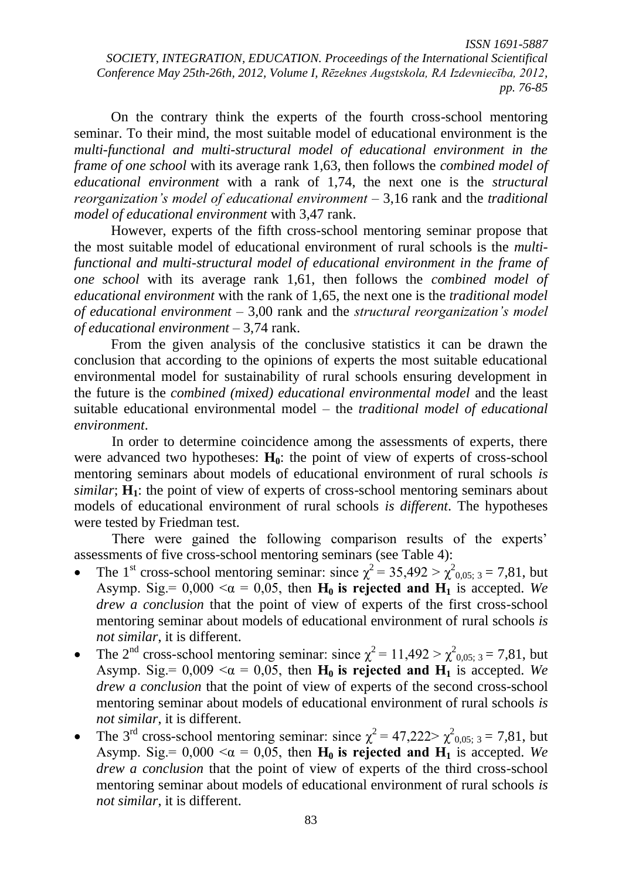On the contrary think the experts of the fourth cross-school mentoring seminar. To their mind, the most suitable model of educational environment is the *multi-functional and multi-structural model of educational environment in the frame of one school* with its average rank 1,63, then follows the *combined model of educational environment* with a rank of 1,74, the next one is the *structural reorganization's model of educational environment* – 3,16 rank and the *traditional model of educational environment* with 3,47 rank.

However, experts of the fifth cross-school mentoring seminar propose that the most suitable model of educational environment of rural schools is the *multifunctional and multi-structural model of educational environment in the frame of one school* with its average rank 1,61, then follows the *combined model of educational environment* with the rank of 1,65, the next one is the *traditional model of educational environment* – 3,00 rank and the *structural reorganization's model of educational environment* – 3,74 rank.

From the given analysis of the conclusive statistics it can be drawn the conclusion that according to the opinions of experts the most suitable educational environmental model for sustainability of rural schools ensuring development in the future is the *combined (mixed) educational environmental model* and the least suitable educational environmental model – the *traditional model of educational environment*.

In order to determine coincidence among the assessments of experts, there were advanced two hypotheses:  $H_0$ : the point of view of experts of cross-school mentoring seminars about models of educational environment of rural schools *is similar*; **H1**: the point of view of experts of cross-school mentoring seminars about models of educational environment of rural schools *is different*. The hypotheses were tested by Friedman test.

There were gained the following comparison results of the experts' assessments of five cross-school mentoring seminars (see Table 4):

- The 1<sup>st</sup> cross-school mentoring seminar: since  $\chi^2 = 35,492 > \chi^2_{0,05;3} = 7,81$ , but Asymp. Sig. =  $0.000 \le \alpha = 0.05$ , then  $H_0$  is rejected and  $H_1$  is accepted. We *drew a conclusion* that the point of view of experts of the first cross-school mentoring seminar about models of educational environment of rural schools *is not similar*, it is different.
- The 2<sup>nd</sup> cross-school mentoring seminar: since  $\chi^2 = 11,492 > \chi^2_{0,05;3} = 7,81$ , but Asymp. Sig. =  $0.009 \le \alpha = 0.05$ , then **H<sub>0</sub>** is rejected and **H**<sub>1</sub> is accepted. We *drew a conclusion* that the point of view of experts of the second cross-school mentoring seminar about models of educational environment of rural schools *is not similar*, it is different.
- The 3<sup>rd</sup> cross-school mentoring seminar: since  $\chi^2 = 47,222 > \chi^2_{0,05;3} = 7,81$ , but Asymp. Sig. =  $0.000 \le \alpha = 0.05$ , then  $H_0$  is rejected and  $H_1$  is accepted. We *drew a conclusion* that the point of view of experts of the third cross-school mentoring seminar about models of educational environment of rural schools *is not similar*, it is different.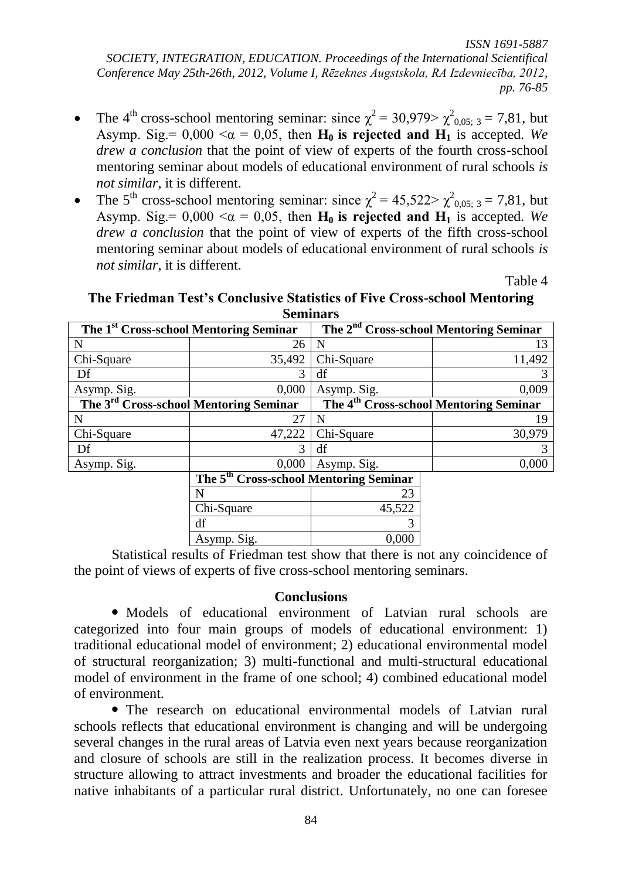- The 4<sup>th</sup> cross-school mentoring seminar: since  $\chi^2 = 30,979 > \chi^2_{0,05;3} = 7,81$ , but Asymp. Sig. =  $0.000 \le \alpha = 0.05$ , then  $H_0$  is rejected and  $H_1$  is accepted. We *drew a conclusion* that the point of view of experts of the fourth cross-school mentoring seminar about models of educational environment of rural schools *is not similar*, it is different.
- The 5<sup>th</sup> cross-school mentoring seminar: since  $\chi^2 = 45{,}522 > \chi^2_{0.05; 3} = 7{,}81$ , but Asymp. Sig. =  $0.000 \le \alpha = 0.05$ , then  $H_0$  is rejected and  $H_1$  is accepted. We *drew a conclusion* that the point of view of experts of the fifth cross-school mentoring seminar about models of educational environment of rural schools *is not similar*, it is different.

Table 4

### **The Friedman Test's Conclusive Statistics of Five Cross-school Mentoring Seminars**

|             | The 1 <sup>st</sup> Cross-school Mentoring Seminar | The 2 <sup>nd</sup> Cross-school Mentoring Seminar |                                                    |  |
|-------------|----------------------------------------------------|----------------------------------------------------|----------------------------------------------------|--|
| N           | 26                                                 | N                                                  | 13                                                 |  |
| Chi-Square  | 35,492                                             | Chi-Square                                         | 11,492                                             |  |
| Df          | 3                                                  | df                                                 |                                                    |  |
| Asymp. Sig. | 0,000                                              | Asymp. Sig.                                        | 0,009                                              |  |
|             | The 3 <sup>rd</sup> Cross-school Mentoring Seminar |                                                    | The 4 <sup>th</sup> Cross-school Mentoring Seminar |  |
| N           | 27                                                 | N                                                  | 19                                                 |  |
| Chi-Square  | 47,222                                             | Chi-Square                                         | 30,979                                             |  |
| Df          | 3                                                  | df                                                 |                                                    |  |
| Asymp. Sig. | 0,000                                              | Asymp. Sig.                                        | 0,000                                              |  |
|             | The 5 <sup>th</sup> Cross-school Mentoring Seminar |                                                    |                                                    |  |
|             | N                                                  | 23                                                 |                                                    |  |

| The 5 <sup>th</sup> Cross-school Mentoring Seminar |        |  |
|----------------------------------------------------|--------|--|
|                                                    |        |  |
| Chi-Square                                         | 45,522 |  |
|                                                    |        |  |
| Asymp. Sig.                                        | 0.000  |  |

Statistical results of Friedman test show that there is not any coincidence of the point of views of experts of five cross-school mentoring seminars.

### **Conclusions**

• Models of educational environment of Latvian rural schools are categorized into four main groups of models of educational environment: 1) traditional educational model of environment; 2) educational environmental model of structural reorganization; 3) multi-functional and multi-structural educational model of environment in the frame of one school; 4) combined educational model of environment.

 The research on educational environmental models of Latvian rural schools reflects that educational environment is changing and will be undergoing several changes in the rural areas of Latvia even next years because reorganization and closure of schools are still in the realization process. It becomes diverse in structure allowing to attract investments and broader the educational facilities for native inhabitants of a particular rural district. Unfortunately, no one can foresee